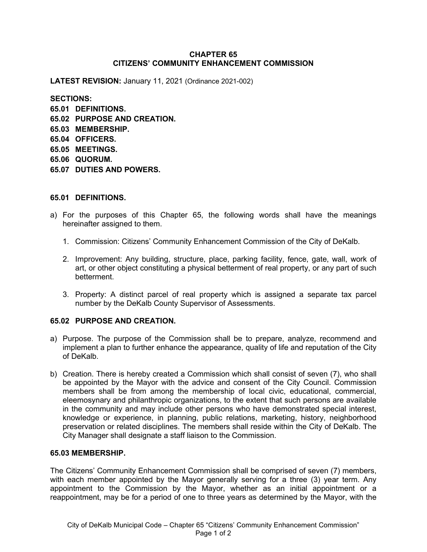#### **CHAPTER 65 CITIZENS' COMMUNITY ENHANCEMENT COMMISSION**

**LATEST REVISION:** January 11, 2021 (Ordinance 2021-002)

**SECTIONS: 65.01 DEFINITIONS. 65.02 PURPOSE AND CREATION. 65.03 MEMBERSHIP. 65.04 OFFICERS. 65.05 MEETINGS. 65.06 QUORUM. 65.07 DUTIES AND POWERS.**

## **65.01 DEFINITIONS.**

- a) For the purposes of this Chapter 65, the following words shall have the meanings hereinafter assigned to them.
	- 1. Commission: Citizens' Community Enhancement Commission of the City of DeKalb.
	- 2. Improvement: Any building, structure, place, parking facility, fence, gate, wall, work of art, or other object constituting a physical betterment of real property, or any part of such betterment.
	- 3. Property: A distinct parcel of real property which is assigned a separate tax parcel number by the DeKalb County Supervisor of Assessments.

# **65.02 PURPOSE AND CREATION.**

- a) Purpose. The purpose of the Commission shall be to prepare, analyze, recommend and implement a plan to further enhance the appearance, quality of life and reputation of the City of DeKalb.
- b) Creation. There is hereby created a Commission which shall consist of seven (7), who shall be appointed by the Mayor with the advice and consent of the City Council. Commission members shall be from among the membership of local civic, educational, commercial, eleemosynary and philanthropic organizations, to the extent that such persons are available in the community and may include other persons who have demonstrated special interest, knowledge or experience, in planning, public relations, marketing, history, neighborhood preservation or related disciplines. The members shall reside within the City of DeKalb. The City Manager shall designate a staff liaison to the Commission.

#### **65.03 MEMBERSHIP.**

The Citizens' Community Enhancement Commission shall be comprised of seven (7) members, with each member appointed by the Mayor generally serving for a three (3) year term. Any appointment to the Commission by the Mayor, whether as an initial appointment or a reappointment, may be for a period of one to three years as determined by the Mayor, with the